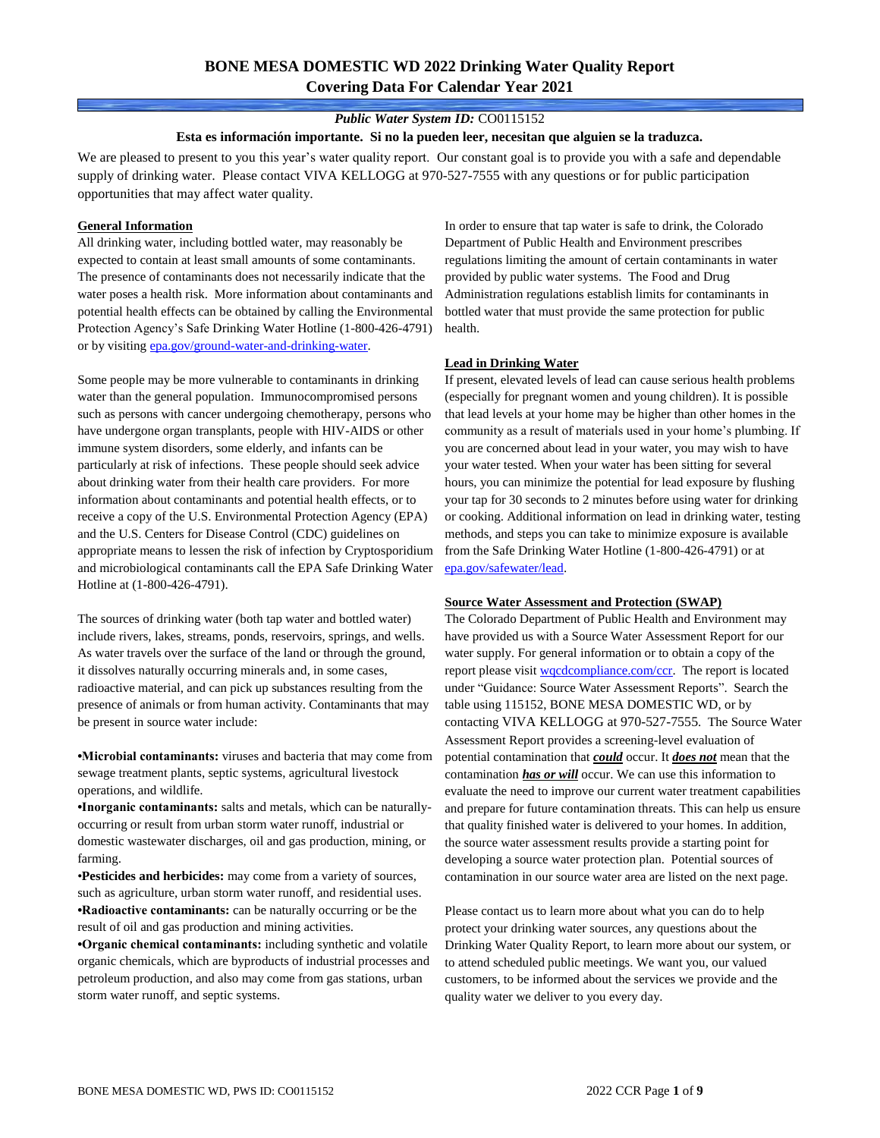# **BONE MESA DOMESTIC WD 2022 Drinking Water Quality Report Covering Data For Calendar Year 2021**

### *Public Water System ID:* CO0115152

#### **Esta es información importante. Si no la pueden leer, necesitan que alguien se la traduzca.**

We are pleased to present to you this year's water quality report. Our constant goal is to provide you with a safe and dependable supply of drinking water. Please contact VIVA KELLOGG at 970-527-7555 with any questions or for public participation opportunities that may affect water quality.

#### **General Information**

All drinking water, including bottled water, may reasonably be expected to contain at least small amounts of some contaminants. The presence of contaminants does not necessarily indicate that the water poses a health risk. More information about contaminants and potential health effects can be obtained by calling the Environmental Protection Agency's Safe Drinking Water Hotline (1-800-426-4791) or by visiting [epa.gov/ground-water-and-drinking-water.](https://www.epa.gov/ground-water-and-drinking-water)

Some people may be more vulnerable to contaminants in drinking water than the general population. Immunocompromised persons such as persons with cancer undergoing chemotherapy, persons who have undergone organ transplants, people with HIV-AIDS or other immune system disorders, some elderly, and infants can be particularly at risk of infections. These people should seek advice about drinking water from their health care providers. For more information about contaminants and potential health effects, or to receive a copy of the U.S. Environmental Protection Agency (EPA) and the U.S. Centers for Disease Control (CDC) guidelines on appropriate means to lessen the risk of infection by Cryptosporidium and microbiological contaminants call the EPA Safe Drinking Water Hotline at (1-800-426-4791).

The sources of drinking water (both tap water and bottled water) include rivers, lakes, streams, ponds, reservoirs, springs, and wells. As water travels over the surface of the land or through the ground, it dissolves naturally occurring minerals and, in some cases, radioactive material, and can pick up substances resulting from the presence of animals or from human activity. Contaminants that may be present in source water include:

**•Microbial contaminants:** viruses and bacteria that may come from sewage treatment plants, septic systems, agricultural livestock operations, and wildlife.

**•Inorganic contaminants:** salts and metals, which can be naturallyoccurring or result from urban storm water runoff, industrial or domestic wastewater discharges, oil and gas production, mining, or farming.

•**Pesticides and herbicides:** may come from a variety of sources, such as agriculture, urban storm water runoff, and residential uses. **•Radioactive contaminants:** can be naturally occurring or be the result of oil and gas production and mining activities.

**•Organic chemical contaminants:** including synthetic and volatile organic chemicals, which are byproducts of industrial processes and petroleum production, and also may come from gas stations, urban storm water runoff, and septic systems.

In order to ensure that tap water is safe to drink, the Colorado Department of Public Health and Environment prescribes regulations limiting the amount of certain contaminants in water provided by public water systems. The Food and Drug Administration regulations establish limits for contaminants in bottled water that must provide the same protection for public health.

### **Lead in Drinking Water**

If present, elevated levels of lead can cause serious health problems (especially for pregnant women and young children). It is possible that lead levels at your home may be higher than other homes in the community as a result of materials used in your home's plumbing. If you are concerned about lead in your water, you may wish to have your water tested. When your water has been sitting for several hours, you can minimize the potential for lead exposure by flushing your tap for 30 seconds to 2 minutes before using water for drinking or cooking. Additional information on lead in drinking water, testing methods, and steps you can take to minimize exposure is available from the Safe Drinking Water Hotline (1-800-426-4791) or at [epa.gov/safewater/lead.](http://www.epa.gov/safewater/lead) 

#### **Source Water Assessment and Protection (SWAP)**

The Colorado Department of Public Health and Environment may have provided us with a Source Water Assessment Report for our water supply. For general information or to obtain a copy of the report please visit [wqcdcompliance.com/ccr.](https://wqcdcompliance.com/ccr) The report is located under "Guidance: Source Water Assessment Reports". Search the table using 115152, BONE MESA DOMESTIC WD, or by contacting VIVA KELLOGG at 970-527-7555. The Source Water Assessment Report provides a screening-level evaluation of potential contamination that *could* occur. It *does not* mean that the contamination *has or will* occur. We can use this information to evaluate the need to improve our current water treatment capabilities and prepare for future contamination threats. This can help us ensure that quality finished water is delivered to your homes. In addition, the source water assessment results provide a starting point for developing a source water protection plan. Potential sources of contamination in our source water area are listed on the next page.

Please contact us to learn more about what you can do to help protect your drinking water sources, any questions about the Drinking Water Quality Report, to learn more about our system, or to attend scheduled public meetings. We want you, our valued customers, to be informed about the services we provide and the quality water we deliver to you every day.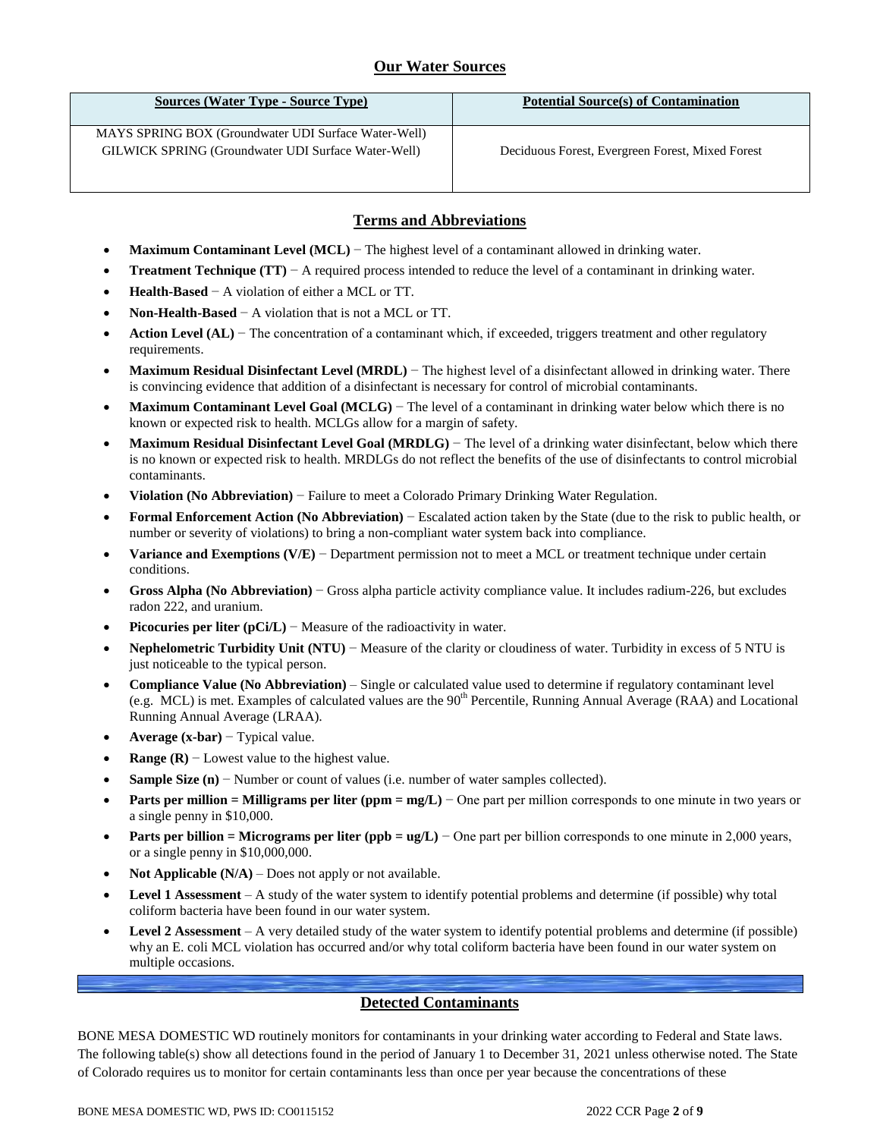## **Our Water Sources**

| Sources (Water Type - Source Type)                                                                          | <b>Potential Source(s) of Contamination</b>      |
|-------------------------------------------------------------------------------------------------------------|--------------------------------------------------|
| MAYS SPRING BOX (Groundwater UDI Surface Water-Well)<br>GILWICK SPRING (Groundwater UDI Surface Water-Well) | Deciduous Forest, Evergreen Forest, Mixed Forest |

## **Terms and Abbreviations**

- **Maximum Contaminant Level (MCL)** − The highest level of a contaminant allowed in drinking water.
- **Treatment Technique (TT)** − A required process intended to reduce the level of a contaminant in drinking water.
- **Health-Based** − A violation of either a MCL or TT.
- **Non-Health-Based** − A violation that is not a MCL or TT.
- **Action Level (AL)** − The concentration of a contaminant which, if exceeded, triggers treatment and other regulatory requirements.
- **Maximum Residual Disinfectant Level (MRDL)** − The highest level of a disinfectant allowed in drinking water. There is convincing evidence that addition of a disinfectant is necessary for control of microbial contaminants.
- **Maximum Contaminant Level Goal (MCLG)** − The level of a contaminant in drinking water below which there is no known or expected risk to health. MCLGs allow for a margin of safety.
- **Maximum Residual Disinfectant Level Goal (MRDLG)** − The level of a drinking water disinfectant, below which there is no known or expected risk to health. MRDLGs do not reflect the benefits of the use of disinfectants to control microbial contaminants.
- **Violation (No Abbreviation)** − Failure to meet a Colorado Primary Drinking Water Regulation.
- **Formal Enforcement Action (No Abbreviation)** − Escalated action taken by the State (due to the risk to public health, or number or severity of violations) to bring a non-compliant water system back into compliance.
- **Variance and Exemptions (V/E)** − Department permission not to meet a MCL or treatment technique under certain conditions.
- **Gross Alpha (No Abbreviation)** − Gross alpha particle activity compliance value. It includes radium-226, but excludes radon 222, and uranium.
- **Picocuries per liter (pCi/L)** − Measure of the radioactivity in water.
- **Nephelometric Turbidity Unit (NTU)** − Measure of the clarity or cloudiness of water. Turbidity in excess of 5 NTU is just noticeable to the typical person.
- **Compliance Value (No Abbreviation)** Single or calculated value used to determine if regulatory contaminant level (e.g. MCL) is met. Examples of calculated values are the  $90<sup>th</sup>$  Percentile, Running Annual Average (RAA) and Locational Running Annual Average (LRAA).
- **Average (x-bar)** − Typical value.
- **Range (R)** − Lowest value to the highest value.
- **Sample Size (n)** − Number or count of values (i.e. number of water samples collected).
- **Parts per million = Milligrams per liter (ppm = mg/L)** − One part per million corresponds to one minute in two years or a single penny in \$10,000.
- **Parts per billion = Micrograms per liter (ppb = ug/L)** − One part per billion corresponds to one minute in 2,000 years, or a single penny in \$10,000,000.
- **Not Applicable (N/A)** Does not apply or not available.
- **Level 1 Assessment** A study of the water system to identify potential problems and determine (if possible) why total coliform bacteria have been found in our water system.
- **Level 2 Assessment** A very detailed study of the water system to identify potential problems and determine (if possible) why an E. coli MCL violation has occurred and/or why total coliform bacteria have been found in our water system on multiple occasions.

## **Detected Contaminants**

BONE MESA DOMESTIC WD routinely monitors for contaminants in your drinking water according to Federal and State laws. The following table(s) show all detections found in the period of January 1 to December 31, 2021 unless otherwise noted. The State of Colorado requires us to monitor for certain contaminants less than once per year because the concentrations of these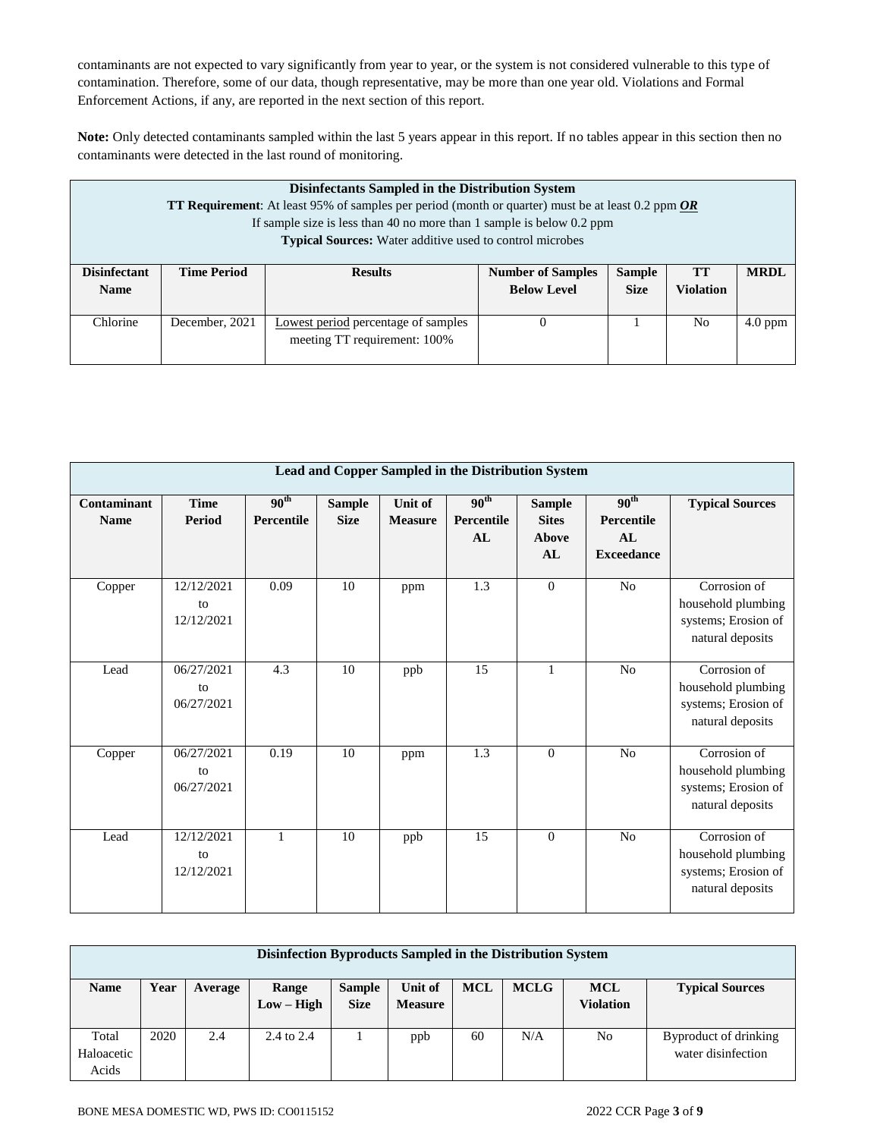contaminants are not expected to vary significantly from year to year, or the system is not considered vulnerable to this type of contamination. Therefore, some of our data, though representative, may be more than one year old. Violations and Formal Enforcement Actions, if any, are reported in the next section of this report.

**Note:** Only detected contaminants sampled within the last 5 years appear in this report. If no tables appear in this section then no contaminants were detected in the last round of monitoring.

|                     | Disinfectants Sampled in the Distribution System<br>TT Requirement: At least 95% of samples per period (month or quarter) must be at least 0.2 ppm OR<br>If sample size is less than 40 no more than 1 sample is below 0.2 ppm<br><b>Typical Sources:</b> Water additive used to control microbes |                                            |                          |               |                  |             |  |  |  |
|---------------------|---------------------------------------------------------------------------------------------------------------------------------------------------------------------------------------------------------------------------------------------------------------------------------------------------|--------------------------------------------|--------------------------|---------------|------------------|-------------|--|--|--|
| <b>Disinfectant</b> | <b>Time Period</b>                                                                                                                                                                                                                                                                                | <b>Results</b>                             | <b>Number of Samples</b> | <b>Sample</b> | TT               | <b>MRDL</b> |  |  |  |
| <b>Name</b>         |                                                                                                                                                                                                                                                                                                   |                                            | <b>Below Level</b>       | <b>Size</b>   | <b>Violation</b> |             |  |  |  |
| Chlorine            | December, 2021                                                                                                                                                                                                                                                                                    | <b>Lowest period percentage of samples</b> | $\theta$                 |               | N <sub>0</sub>   | $4.0$ ppm   |  |  |  |
|                     |                                                                                                                                                                                                                                                                                                   | meeting TT requirement: 100%               |                          |               |                  |             |  |  |  |

|                            | Lead and Copper Sampled in the Distribution System |                                |                              |                           |                                      |                                              |                                                           |                                                                               |  |  |  |  |
|----------------------------|----------------------------------------------------|--------------------------------|------------------------------|---------------------------|--------------------------------------|----------------------------------------------|-----------------------------------------------------------|-------------------------------------------------------------------------------|--|--|--|--|
| Contaminant<br><b>Name</b> | <b>Time</b><br>Period                              | 90 <sup>th</sup><br>Percentile | <b>Sample</b><br><b>Size</b> | Unit of<br><b>Measure</b> | 90 <sup>th</sup><br>Percentile<br>AL | <b>Sample</b><br><b>Sites</b><br>Above<br>AL | 90 <sup>th</sup><br>Percentile<br>AI<br><b>Exceedance</b> | <b>Typical Sources</b>                                                        |  |  |  |  |
| Copper                     | 12/12/2021<br>to<br>12/12/2021                     | 0.09                           | 10                           | ppm                       | $\overline{1.3}$                     | $\overline{0}$                               | N <sub>o</sub>                                            | Corrosion of<br>household plumbing<br>systems; Erosion of<br>natural deposits |  |  |  |  |
| Lead                       | 06/27/2021<br>to<br>06/27/2021                     | 4.3                            | 10                           | ppb                       | 15                                   | $\mathbf{1}$                                 | No                                                        | Corrosion of<br>household plumbing<br>systems; Erosion of<br>natural deposits |  |  |  |  |
| Copper                     | 06/27/2021<br>to<br>06/27/2021                     | 0.19                           | 10                           | ppm                       | 1.3                                  | $\theta$                                     | No                                                        | Corrosion of<br>household plumbing<br>systems; Erosion of<br>natural deposits |  |  |  |  |
| Lead                       | 12/12/2021<br>to<br>12/12/2021                     | 1                              | 10                           | ppb                       | 15                                   | $\Omega$                                     | N <sub>o</sub>                                            | Corrosion of<br>household plumbing<br>systems; Erosion of<br>natural deposits |  |  |  |  |

|                              | Disinfection Byproducts Sampled in the Distribution System |         |                       |                              |                           |            |             |                                |                                             |  |  |  |
|------------------------------|------------------------------------------------------------|---------|-----------------------|------------------------------|---------------------------|------------|-------------|--------------------------------|---------------------------------------------|--|--|--|
| <b>Name</b>                  | Year                                                       | Average | Range<br>$Low - High$ | <b>Sample</b><br><b>Size</b> | Unit of<br><b>Measure</b> | <b>MCL</b> | <b>MCLG</b> | <b>MCL</b><br><b>Violation</b> | <b>Typical Sources</b>                      |  |  |  |
| Total<br>Haloacetic<br>Acids | 2020                                                       | 2.4     | $2.4 \text{ to } 2.4$ |                              | ppb                       | 60         | N/A         | No                             | Byproduct of drinking<br>water disinfection |  |  |  |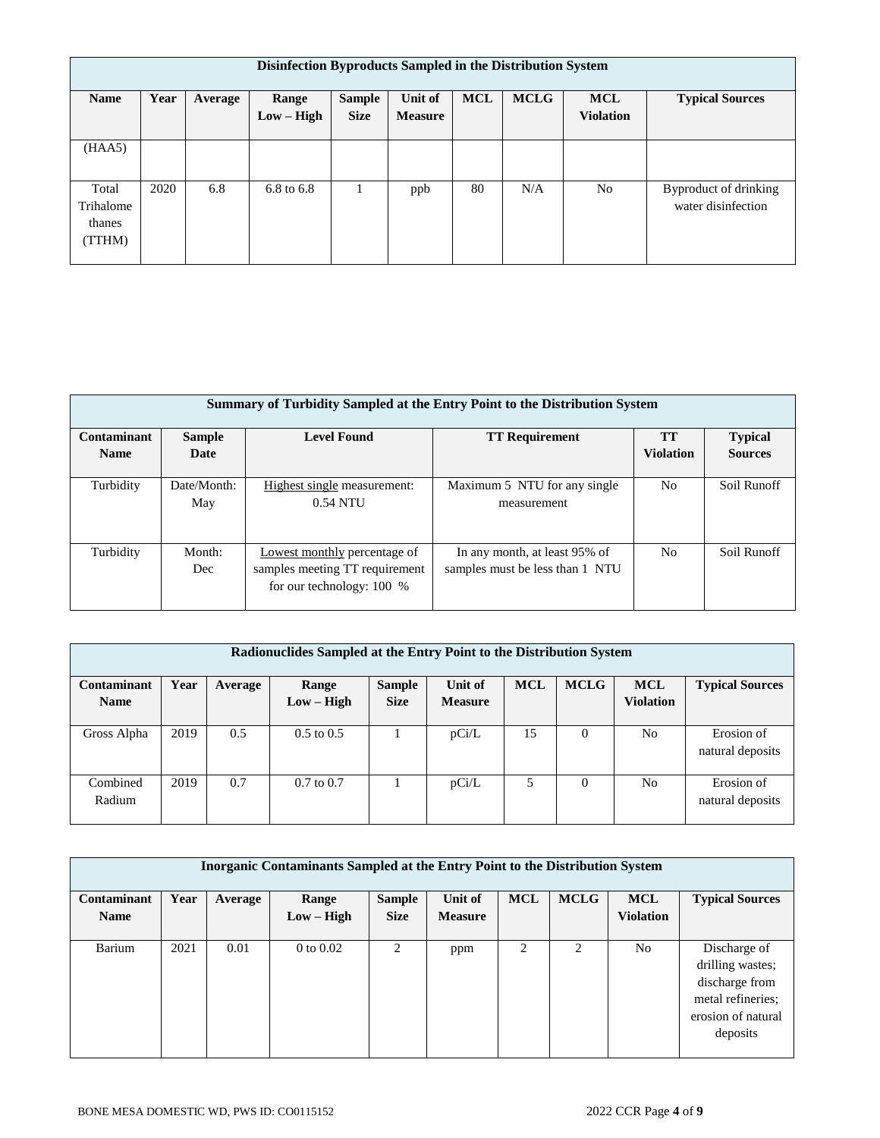|                                        | Disinfection Byproducts Sampled in the Distribution System |         |                       |                              |                           |            |             |                                |                                             |  |  |  |  |  |
|----------------------------------------|------------------------------------------------------------|---------|-----------------------|------------------------------|---------------------------|------------|-------------|--------------------------------|---------------------------------------------|--|--|--|--|--|
| <b>Name</b>                            | Year                                                       | Average | Range<br>$Low - High$ | <b>Sample</b><br><b>Size</b> | Unit of<br><b>Measure</b> | <b>MCL</b> | <b>MCLG</b> | <b>MCL</b><br><b>Violation</b> | <b>Typical Sources</b>                      |  |  |  |  |  |
| (HAA5)                                 |                                                            |         |                       |                              |                           |            |             |                                |                                             |  |  |  |  |  |
| Total<br>Trihalome<br>thanes<br>(TTHM) | 2020                                                       | 6.8     | 6.8 to 6.8            |                              | ppb                       | 80         | N/A         | N <sub>o</sub>                 | Byproduct of drinking<br>water disinfection |  |  |  |  |  |

|             | Summary of Turbidity Sampled at the Entry Point to the Distribution System |                                                                                               |                                                                  |                  |                |  |  |  |  |  |  |  |
|-------------|----------------------------------------------------------------------------|-----------------------------------------------------------------------------------------------|------------------------------------------------------------------|------------------|----------------|--|--|--|--|--|--|--|
| Contaminant | <b>Sample</b>                                                              | <b>Level Found</b>                                                                            | <b>TT Requirement</b>                                            | <b>TT</b>        | <b>Typical</b> |  |  |  |  |  |  |  |
| <b>Name</b> | Date                                                                       |                                                                                               |                                                                  | <b>Violation</b> | <b>Sources</b> |  |  |  |  |  |  |  |
| Turbidity   | Date/Month:<br>May                                                         | Highest single measurement:<br>$0.54$ NTU                                                     | Maximum 5 NTU for any single<br>measurement                      | N <sub>0</sub>   | Soil Runoff    |  |  |  |  |  |  |  |
| Turbidity   | Month:<br>Dec                                                              | Lowest monthly percentage of<br>samples meeting TT requirement<br>for our technology: $100\%$ | In any month, at least 95% of<br>samples must be less than 1 NTU | N <sub>0</sub>   | Soil Runoff    |  |  |  |  |  |  |  |

|             | Radionuclides Sampled at the Entry Point to the Distribution System |         |                |               |                |            |             |                  |                        |  |  |  |  |
|-------------|---------------------------------------------------------------------|---------|----------------|---------------|----------------|------------|-------------|------------------|------------------------|--|--|--|--|
| Contaminant | Year                                                                | Average | Range          | <b>Sample</b> | Unit of        | <b>MCL</b> | <b>MCLG</b> | <b>MCL</b>       | <b>Typical Sources</b> |  |  |  |  |
| <b>Name</b> |                                                                     |         | $Low - High$   | <b>Size</b>   | <b>Measure</b> |            |             | <b>Violation</b> |                        |  |  |  |  |
|             |                                                                     |         |                |               |                |            |             |                  |                        |  |  |  |  |
| Gross Alpha | 2019                                                                | 0.5     | $0.5$ to $0.5$ |               | pCi/L          | 15         | $\Omega$    | N <sub>o</sub>   | Erosion of             |  |  |  |  |
|             |                                                                     |         |                |               |                |            |             |                  | natural deposits       |  |  |  |  |
|             |                                                                     |         |                |               |                |            |             |                  |                        |  |  |  |  |
| Combined    | 2019                                                                | 0.7     | $0.7$ to $0.7$ |               | pCi/L          | 5          | 0           | N <sub>o</sub>   | Erosion of             |  |  |  |  |
| Radium      |                                                                     |         |                |               |                |            |             |                  | natural deposits       |  |  |  |  |
|             |                                                                     |         |                |               |                |            |             |                  |                        |  |  |  |  |

| Inorganic Contaminants Sampled at the Entry Point to the Distribution System |      |         |              |                |                |            |                |                  |                        |  |  |  |
|------------------------------------------------------------------------------|------|---------|--------------|----------------|----------------|------------|----------------|------------------|------------------------|--|--|--|
| Contaminant                                                                  | Year | Average | Range        | <b>Sample</b>  | Unit of        | <b>MCL</b> | <b>MCLG</b>    | <b>MCL</b>       | <b>Typical Sources</b> |  |  |  |
| <b>Name</b>                                                                  |      |         | $Low - High$ | <b>Size</b>    | <b>Measure</b> |            |                | <b>Violation</b> |                        |  |  |  |
|                                                                              |      |         |              |                |                |            |                |                  |                        |  |  |  |
| Barium                                                                       | 2021 | 0.01    | 0 to $0.02$  | $\mathfrak{D}$ | ppm            |            | $\overline{c}$ | No.              | Discharge of           |  |  |  |
|                                                                              |      |         |              |                |                |            |                |                  | drilling wastes;       |  |  |  |
|                                                                              |      |         |              |                |                |            |                |                  | discharge from         |  |  |  |
|                                                                              |      |         |              |                |                |            |                |                  | metal refineries;      |  |  |  |
|                                                                              |      |         |              |                |                |            |                |                  | erosion of natural     |  |  |  |
|                                                                              |      |         |              |                |                |            |                |                  | deposits               |  |  |  |
|                                                                              |      |         |              |                |                |            |                |                  |                        |  |  |  |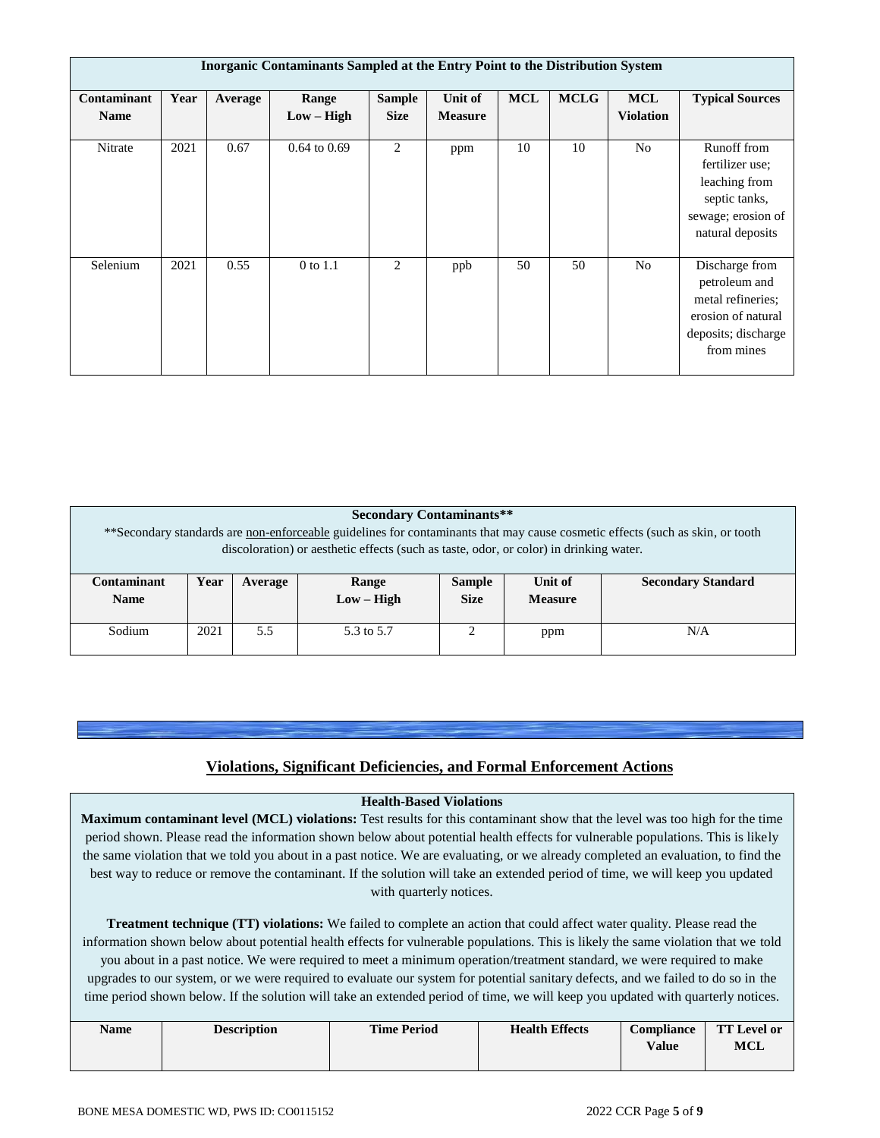|                            | <b>Inorganic Contaminants Sampled at the Entry Point to the Distribution System</b> |         |                       |                              |                                  |            |             |                                |                                                                                                                 |  |  |
|----------------------------|-------------------------------------------------------------------------------------|---------|-----------------------|------------------------------|----------------------------------|------------|-------------|--------------------------------|-----------------------------------------------------------------------------------------------------------------|--|--|
| Contaminant<br><b>Name</b> | Year                                                                                | Average | Range<br>$Low - High$ | <b>Sample</b><br><b>Size</b> | <b>Unit of</b><br><b>Measure</b> | <b>MCL</b> | <b>MCLG</b> | <b>MCL</b><br><b>Violation</b> | <b>Typical Sources</b>                                                                                          |  |  |
| Nitrate                    | 2021                                                                                | 0.67    | $0.64$ to $0.69$      | 2                            | ppm                              | 10         | 10          | No                             | Runoff from<br>fertilizer use;<br>leaching from<br>septic tanks,<br>sewage; erosion of<br>natural deposits      |  |  |
| Selenium                   | 2021                                                                                | 0.55    | 0 to 1.1              | 2                            | ppb                              | 50         | 50          | No                             | Discharge from<br>petroleum and<br>metal refineries;<br>erosion of natural<br>deposits; discharge<br>from mines |  |  |

|             | <b>Secondary Contaminants**</b>                                                                                                |         |                                                                                        |               |                |                           |  |  |  |  |  |
|-------------|--------------------------------------------------------------------------------------------------------------------------------|---------|----------------------------------------------------------------------------------------|---------------|----------------|---------------------------|--|--|--|--|--|
|             | ** Secondary standards are non-enforceable guidelines for contaminants that may cause cosmetic effects (such as skin, or tooth |         |                                                                                        |               |                |                           |  |  |  |  |  |
|             |                                                                                                                                |         | discoloration) or aesthetic effects (such as taste, odor, or color) in drinking water. |               |                |                           |  |  |  |  |  |
|             |                                                                                                                                |         |                                                                                        |               |                |                           |  |  |  |  |  |
| Contaminant | Year                                                                                                                           | Average | Range                                                                                  | <b>Sample</b> | Unit of        | <b>Secondary Standard</b> |  |  |  |  |  |
| <b>Name</b> |                                                                                                                                |         | $Low - High$                                                                           | <b>Size</b>   | <b>Measure</b> |                           |  |  |  |  |  |
|             |                                                                                                                                |         |                                                                                        |               |                |                           |  |  |  |  |  |
| Sodium      | 2021<br>5.5<br>N/A<br>↑<br>5.3 to 5.7<br>ppm                                                                                   |         |                                                                                        |               |                |                           |  |  |  |  |  |
|             |                                                                                                                                |         |                                                                                        |               |                |                           |  |  |  |  |  |

## **Violations, Significant Deficiencies, and Formal Enforcement Actions**

### **Health-Based Violations**

**Maximum contaminant level (MCL) violations:** Test results for this contaminant show that the level was too high for the time period shown. Please read the information shown below about potential health effects for vulnerable populations. This is likely the same violation that we told you about in a past notice. We are evaluating, or we already completed an evaluation, to find the best way to reduce or remove the contaminant. If the solution will take an extended period of time, we will keep you updated with quarterly notices.

**Treatment technique (TT) violations:** We failed to complete an action that could affect water quality. Please read the information shown below about potential health effects for vulnerable populations. This is likely the same violation that we told you about in a past notice. We were required to meet a minimum operation/treatment standard, we were required to make upgrades to our system, or we were required to evaluate our system for potential sanitary defects, and we failed to do so in the time period shown below. If the solution will take an extended period of time, we will keep you updated with quarterly notices.

| <b>Name</b> | <b>Description</b> | <b>Time Period</b> | <b>Health Effects</b> | <b>Compliance</b> | <b>TT</b> Level or |
|-------------|--------------------|--------------------|-----------------------|-------------------|--------------------|
|             |                    |                    |                       | Value             | MCL                |
|             |                    |                    |                       |                   |                    |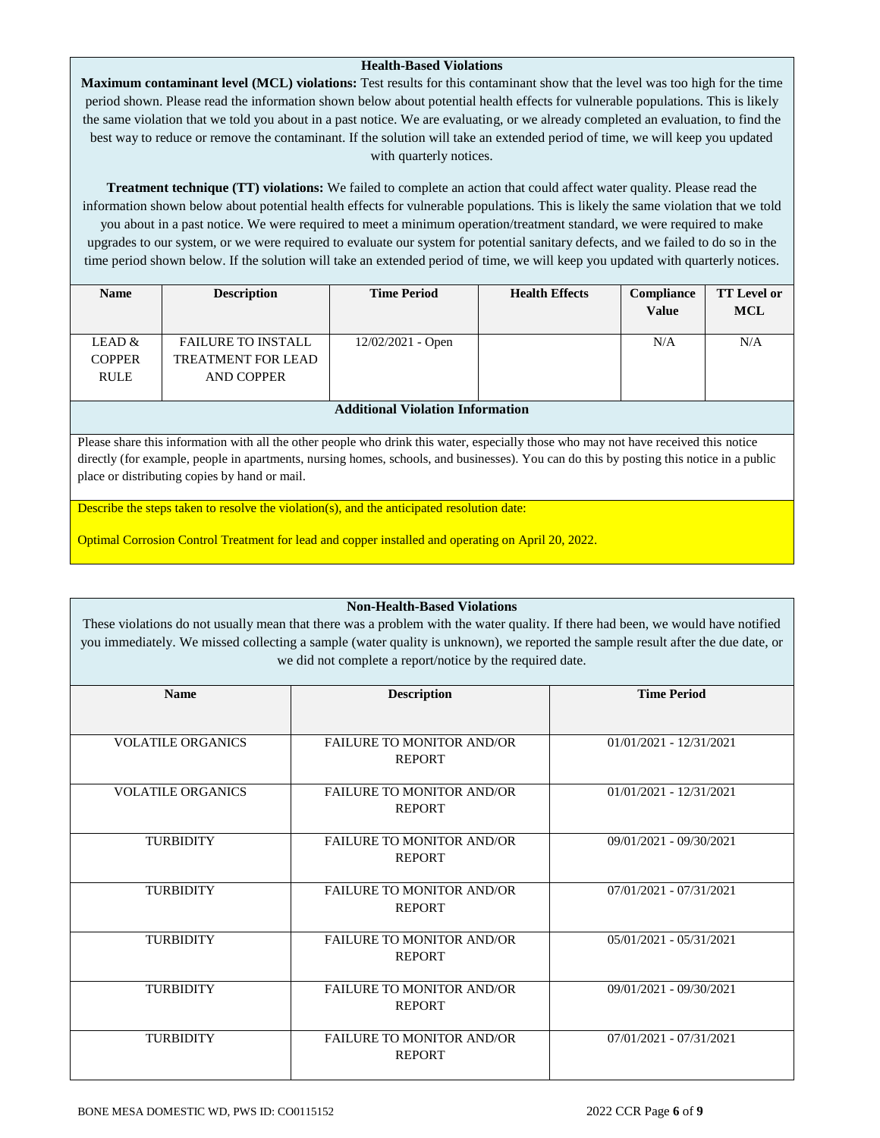### **Health-Based Violations**

**Maximum contaminant level (MCL) violations:** Test results for this contaminant show that the level was too high for the time period shown. Please read the information shown below about potential health effects for vulnerable populations. This is likely the same violation that we told you about in a past notice. We are evaluating, or we already completed an evaluation, to find the best way to reduce or remove the contaminant. If the solution will take an extended period of time, we will keep you updated with quarterly notices.

**Treatment technique (TT) violations:** We failed to complete an action that could affect water quality. Please read the information shown below about potential health effects for vulnerable populations. This is likely the same violation that we told you about in a past notice. We were required to meet a minimum operation/treatment standard, we were required to make upgrades to our system, or we were required to evaluate our system for potential sanitary defects, and we failed to do so in the time period shown below. If the solution will take an extended period of time, we will keep you updated with quarterly notices.

| <b>Name</b>   | <b>Description</b>        | <b>Time Period</b>                                                                                                          | <b>Health Effects</b> | <b>Compliance</b><br><b>Value</b> | <b>TT</b> Level or<br><b>MCL</b> |
|---------------|---------------------------|-----------------------------------------------------------------------------------------------------------------------------|-----------------------|-----------------------------------|----------------------------------|
| LEAD &        | <b>FAILURE TO INSTALL</b> | $12/02/2021$ - Open                                                                                                         |                       | N/A                               | N/A                              |
| <b>COPPER</b> | <b>TREATMENT FOR LEAD</b> |                                                                                                                             |                       |                                   |                                  |
| <b>RULE</b>   | <b>AND COPPER</b>         |                                                                                                                             |                       |                                   |                                  |
|               |                           |                                                                                                                             |                       |                                   |                                  |
|               |                           | $\mathbf{A}$ , and $\mathbf{A}$ and $\mathbf{A}$<br>$\mathbf{v}$ . $\mathbf{v}$ . $\mathbf{v}$<br>$\mathbf{r}$ $\mathbf{a}$ | $\cdot$ .             |                                   |                                  |

**Additional Violation Information**

Please share this information with all the other people who drink this water, especially those who may not have received this notice directly (for example, people in apartments, nursing homes, schools, and businesses). You can do this by posting this notice in a public place or distributing copies by hand or mail.

Describe the steps taken to resolve the violation(s), and the anticipated resolution date:

Optimal Corrosion Control Treatment for lead and copper installed and operating on April 20, 2022.

### **Non-Health-Based Violations**

These violations do not usually mean that there was a problem with the water quality. If there had been, we would have notified you immediately. We missed collecting a sample (water quality is unknown), we reported the sample result after the due date, or we did not complete a report/notice by the required date.

| <b>Name</b>              | <b>Description</b>               | <b>Time Period</b>        |  |  |
|--------------------------|----------------------------------|---------------------------|--|--|
|                          |                                  |                           |  |  |
| <b>VOLATILE ORGANICS</b> | <b>FAILURE TO MONITOR AND/OR</b> | $01/01/2021 - 12/31/2021$ |  |  |
|                          | <b>REPORT</b>                    |                           |  |  |
| <b>VOLATILE ORGANICS</b> | <b>FAILURE TO MONITOR AND/OR</b> | $01/01/2021 - 12/31/2021$ |  |  |
|                          | <b>REPORT</b>                    |                           |  |  |
| <b>TURBIDITY</b>         | <b>FAILURE TO MONITOR AND/OR</b> | 09/01/2021 - 09/30/2021   |  |  |
|                          | <b>REPORT</b>                    |                           |  |  |
| <b>TURBIDITY</b>         | <b>FAILURE TO MONITOR AND/OR</b> | 07/01/2021 - 07/31/2021   |  |  |
|                          | <b>REPORT</b>                    |                           |  |  |
| <b>TURBIDITY</b>         | <b>FAILURE TO MONITOR AND/OR</b> | 05/01/2021 - 05/31/2021   |  |  |
|                          | <b>REPORT</b>                    |                           |  |  |
| <b>TURBIDITY</b>         | <b>FAILURE TO MONITOR AND/OR</b> | 09/01/2021 - 09/30/2021   |  |  |
|                          | <b>REPORT</b>                    |                           |  |  |
| <b>TURBIDITY</b>         | <b>FAILURE TO MONITOR AND/OR</b> | 07/01/2021 - 07/31/2021   |  |  |
|                          | <b>REPORT</b>                    |                           |  |  |
|                          |                                  |                           |  |  |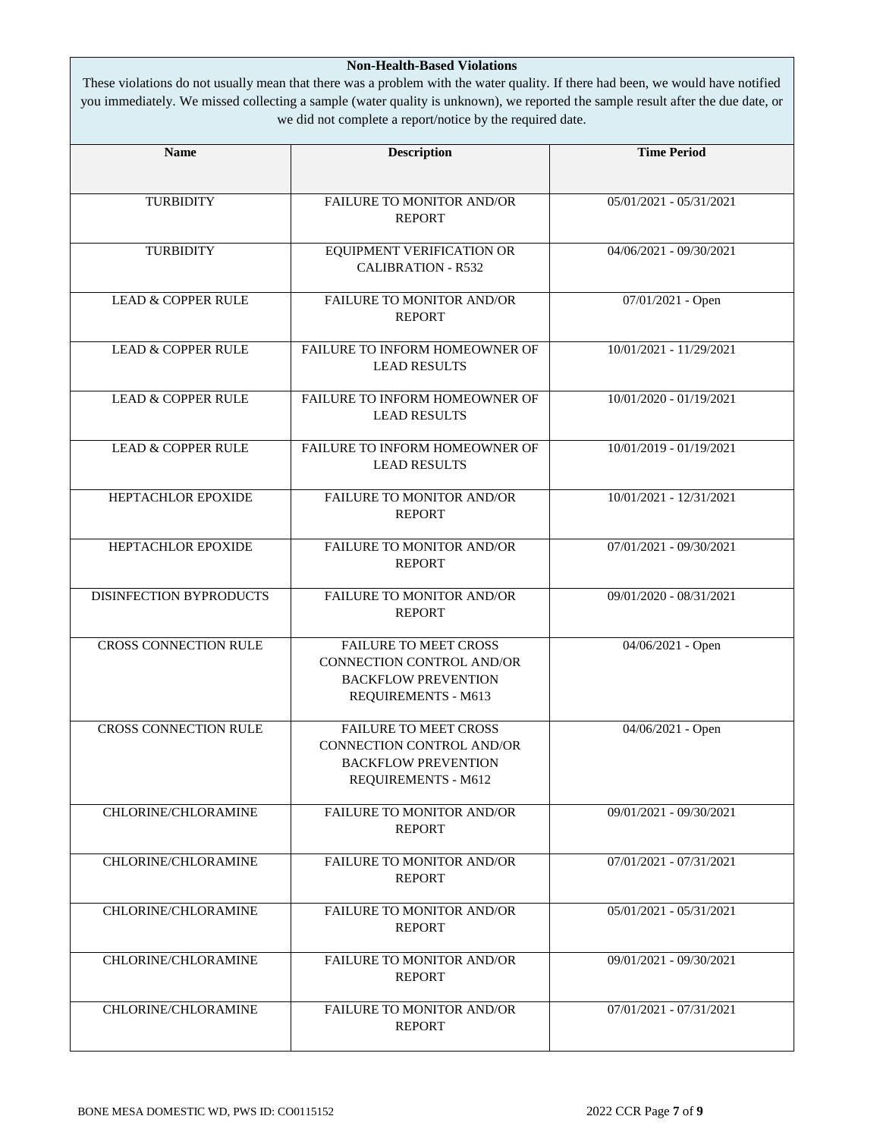### **Non-Health-Based Violations**

These violations do not usually mean that there was a problem with the water quality. If there had been, we would have notified you immediately. We missed collecting a sample (water quality is unknown), we reported the sample result after the due date, or we did not complete a report/notice by the required date.

| <b>Name</b>                   | <b>Description</b>                                                                                                    | <b>Time Period</b>        |  |
|-------------------------------|-----------------------------------------------------------------------------------------------------------------------|---------------------------|--|
|                               |                                                                                                                       |                           |  |
| <b>TURBIDITY</b>              | FAILURE TO MONITOR AND/OR<br><b>REPORT</b>                                                                            | 05/01/2021 - 05/31/2021   |  |
| <b>TURBIDITY</b>              | EQUIPMENT VERIFICATION OR<br><b>CALIBRATION - R532</b>                                                                | 04/06/2021 - 09/30/2021   |  |
| <b>LEAD &amp; COPPER RULE</b> | FAILURE TO MONITOR AND/OR<br><b>REPORT</b>                                                                            | 07/01/2021 - Open         |  |
| <b>LEAD &amp; COPPER RULE</b> | FAILURE TO INFORM HOMEOWNER OF<br><b>LEAD RESULTS</b>                                                                 | 10/01/2021 - 11/29/2021   |  |
| <b>LEAD &amp; COPPER RULE</b> | FAILURE TO INFORM HOMEOWNER OF<br><b>LEAD RESULTS</b>                                                                 | 10/01/2020 - 01/19/2021   |  |
| <b>LEAD &amp; COPPER RULE</b> | FAILURE TO INFORM HOMEOWNER OF<br><b>LEAD RESULTS</b>                                                                 | 10/01/2019 - 01/19/2021   |  |
| HEPTACHLOR EPOXIDE            | FAILURE TO MONITOR AND/OR<br><b>REPORT</b>                                                                            | 10/01/2021 - 12/31/2021   |  |
| HEPTACHLOR EPOXIDE            | FAILURE TO MONITOR AND/OR<br><b>REPORT</b>                                                                            | $07/01/2021 - 09/30/2021$ |  |
| DISINFECTION BYPRODUCTS       | FAILURE TO MONITOR AND/OR<br><b>REPORT</b>                                                                            | 09/01/2020 - 08/31/2021   |  |
| <b>CROSS CONNECTION RULE</b>  | <b>FAILURE TO MEET CROSS</b><br>CONNECTION CONTROL AND/OR<br><b>BACKFLOW PREVENTION</b><br>REQUIREMENTS - M613        | 04/06/2021 - Open         |  |
| <b>CROSS CONNECTION RULE</b>  | <b>FAILURE TO MEET CROSS</b><br><b>CONNECTION CONTROL AND/OR</b><br><b>BACKFLOW PREVENTION</b><br>REQUIREMENTS - M612 | 04/06/2021 - Open         |  |
| CHLORINE/CHLORAMINE           | <b>FAILURE TO MONITOR AND/OR</b><br><b>REPORT</b>                                                                     | 09/01/2021 - 09/30/2021   |  |
| CHLORINE/CHLORAMINE           | <b>FAILURE TO MONITOR AND/OR</b><br><b>REPORT</b>                                                                     | 07/01/2021 - 07/31/2021   |  |
| CHLORINE/CHLORAMINE           | <b>FAILURE TO MONITOR AND/OR</b><br><b>REPORT</b>                                                                     | $05/01/2021 - 05/31/2021$ |  |
| CHLORINE/CHLORAMINE           | <b>FAILURE TO MONITOR AND/OR</b><br><b>REPORT</b>                                                                     | 09/01/2021 - 09/30/2021   |  |
| CHLORINE/CHLORAMINE           | <b>FAILURE TO MONITOR AND/OR</b><br><b>REPORT</b>                                                                     | 07/01/2021 - 07/31/2021   |  |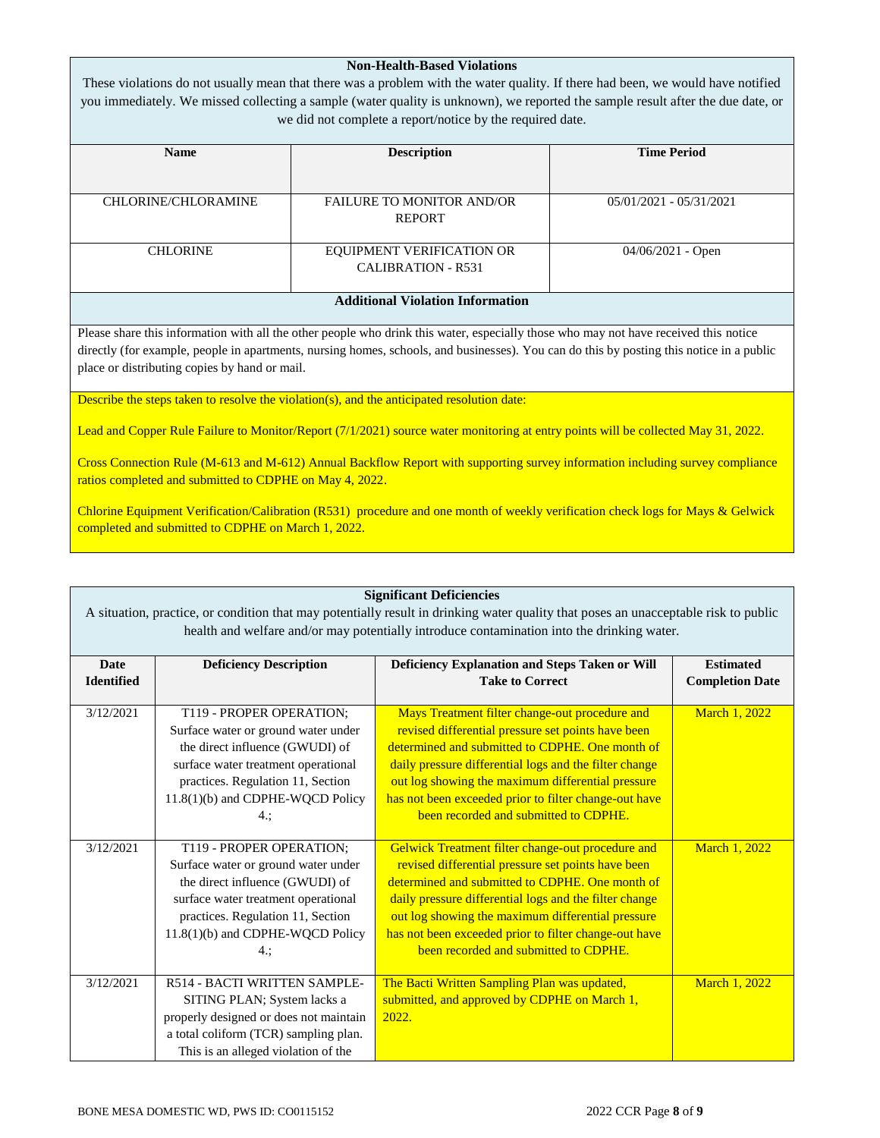| NON-Health-Based Violations<br>These violations do not usually mean that there was a problem with the water quality. If there had been, we would have notified<br>you immediately. We missed collecting a sample (water quality is unknown), we reported the sample result after the due date, or<br>we did not complete a report/notice by the required date. |                                  |                           |  |  |
|----------------------------------------------------------------------------------------------------------------------------------------------------------------------------------------------------------------------------------------------------------------------------------------------------------------------------------------------------------------|----------------------------------|---------------------------|--|--|
| <b>Name</b>                                                                                                                                                                                                                                                                                                                                                    | <b>Description</b>               | <b>Time Period</b>        |  |  |
|                                                                                                                                                                                                                                                                                                                                                                |                                  |                           |  |  |
| <b>CHLORINE/CHLORAMINE</b>                                                                                                                                                                                                                                                                                                                                     | <b>FAILURE TO MONITOR AND/OR</b> | $05/01/2021 - 05/31/2021$ |  |  |
|                                                                                                                                                                                                                                                                                                                                                                | <b>REPORT</b>                    |                           |  |  |
|                                                                                                                                                                                                                                                                                                                                                                |                                  |                           |  |  |
| <b>CHLORINE</b>                                                                                                                                                                                                                                                                                                                                                | <b>EQUIPMENT VERIFICATION OR</b> | $04/06/2021$ - Open       |  |  |
|                                                                                                                                                                                                                                                                                                                                                                | <b>CALIBRATION - R531</b>        |                           |  |  |
|                                                                                                                                                                                                                                                                                                                                                                |                                  |                           |  |  |
| <b>Additional Violation Information</b>                                                                                                                                                                                                                                                                                                                        |                                  |                           |  |  |

**Non-Health-Based Violations**

Please share this information with all the other people who drink this water, especially those who may not have received this notice directly (for example, people in apartments, nursing homes, schools, and businesses). You can do this by posting this notice in a public place or distributing copies by hand or mail.

Describe the steps taken to resolve the violation(s), and the anticipated resolution date:

Lead and Copper Rule Failure to Monitor/Report (7/1/2021) source water monitoring at entry points will be collected May 31, 2022.

Cross Connection Rule (M-613 and M-612) Annual Backflow Report with supporting survey information including survey compliance ratios completed and submitted to CDPHE on May 4, 2022.

Chlorine Equipment Verification/Calibration (R531) procedure and one month of weekly verification check logs for Mays & Gelwick completed and submitted to CDPHE on March 1, 2022.

| <b>Significant Deficiencies</b><br>A situation, practice, or condition that may potentially result in drinking water quality that poses an unacceptable risk to public |                                                                                                                                                                                                                          |                                                                                                                                                                                                                                                                                                                                                                             |                                            |  |  |
|------------------------------------------------------------------------------------------------------------------------------------------------------------------------|--------------------------------------------------------------------------------------------------------------------------------------------------------------------------------------------------------------------------|-----------------------------------------------------------------------------------------------------------------------------------------------------------------------------------------------------------------------------------------------------------------------------------------------------------------------------------------------------------------------------|--------------------------------------------|--|--|
| health and welfare and/or may potentially introduce contamination into the drinking water.                                                                             |                                                                                                                                                                                                                          |                                                                                                                                                                                                                                                                                                                                                                             |                                            |  |  |
| <b>Date</b><br><b>Identified</b>                                                                                                                                       | <b>Deficiency Description</b>                                                                                                                                                                                            | Deficiency Explanation and Steps Taken or Will<br><b>Take to Correct</b>                                                                                                                                                                                                                                                                                                    | <b>Estimated</b><br><b>Completion Date</b> |  |  |
| 3/12/2021                                                                                                                                                              | T119 - PROPER OPERATION;<br>Surface water or ground water under<br>the direct influence (GWUDI) of<br>surface water treatment operational<br>practices. Regulation 11, Section<br>11.8(1)(b) and CDPHE-WQCD Policy<br>4: | Mays Treatment filter change-out procedure and<br>revised differential pressure set points have been<br>determined and submitted to CDPHE. One month of<br>daily pressure differential logs and the filter change<br>out log showing the maximum differential pressure<br>has not been exceeded prior to filter change-out have<br>been recorded and submitted to CDPHE.    | March 1, 2022                              |  |  |
| 3/12/2021                                                                                                                                                              | T119 - PROPER OPERATION;<br>Surface water or ground water under<br>the direct influence (GWUDI) of<br>surface water treatment operational<br>practices. Regulation 11, Section<br>11.8(1)(b) and CDPHE-WQCD Policy<br>4: | Gelwick Treatment filter change-out procedure and<br>revised differential pressure set points have been<br>determined and submitted to CDPHE. One month of<br>daily pressure differential logs and the filter change<br>out log showing the maximum differential pressure<br>has not been exceeded prior to filter change-out have<br>been recorded and submitted to CDPHE. | March 1, 2022                              |  |  |
| 3/12/2021                                                                                                                                                              | R514 - BACTI WRITTEN SAMPLE-<br>SITING PLAN; System lacks a<br>properly designed or does not maintain<br>a total coliform (TCR) sampling plan.<br>This is an alleged violation of the                                    | The Bacti Written Sampling Plan was updated,<br>submitted, and approved by CDPHE on March 1,<br>2022.                                                                                                                                                                                                                                                                       | March 1, 2022                              |  |  |